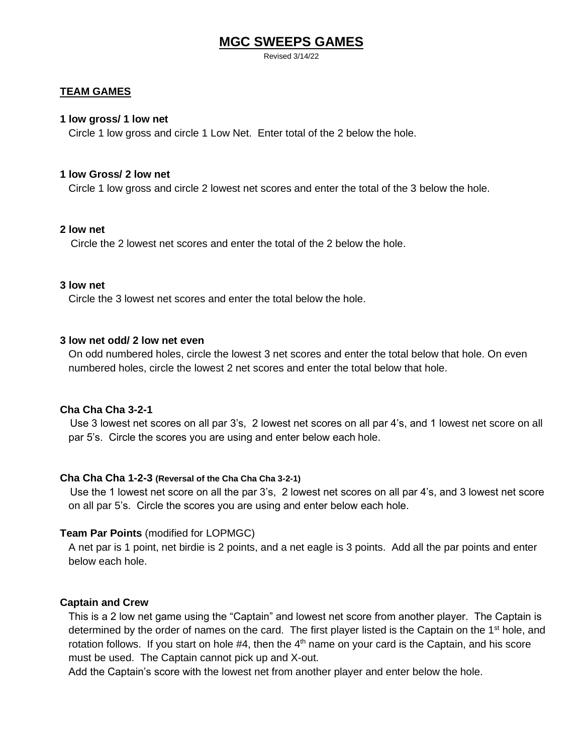# **MGC SWEEPS GAMES**

Revised 3/14/22

## **TEAM GAMES**

#### **1 low gross/ 1 low net**

Circle 1 low gross and circle 1 Low Net. Enter total of the 2 below the hole.

#### **1 low Gross/ 2 low net**

Circle 1 low gross and circle 2 lowest net scores and enter the total of the 3 below the hole.

## **2 low net**

Circle the 2 lowest net scores and enter the total of the 2 below the hole.

## **3 low net**

Circle the 3 lowest net scores and enter the total below the hole.

## **3 low net odd/ 2 low net even**

On odd numbered holes, circle the lowest 3 net scores and enter the total below that hole. On even numbered holes, circle the lowest 2 net scores and enter the total below that hole.

## **Cha Cha Cha 3-2-1**

Use 3 lowest net scores on all par 3's, 2 lowest net scores on all par 4's, and 1 lowest net score on all par 5's. Circle the scores you are using and enter below each hole.

## **Cha Cha Cha 1-2-3 (Reversal of the Cha Cha Cha 3-2-1)**

Use the 1 lowest net score on all the par 3's, 2 lowest net scores on all par 4's, and 3 lowest net score on all par 5's. Circle the scores you are using and enter below each hole.

## **Team Par Points** (modified for LOPMGC)

A net par is 1 point, net birdie is 2 points, and a net eagle is 3 points. Add all the par points and enter below each hole.

## **Captain and Crew**

This is a 2 low net game using the "Captain" and lowest net score from another player. The Captain is determined by the order of names on the card. The first player listed is the Captain on the 1<sup>st</sup> hole, and rotation follows. If you start on hole  $#4$ , then the  $4<sup>th</sup>$  name on your card is the Captain, and his score must be used. The Captain cannot pick up and X-out.

Add the Captain's score with the lowest net from another player and enter below the hole.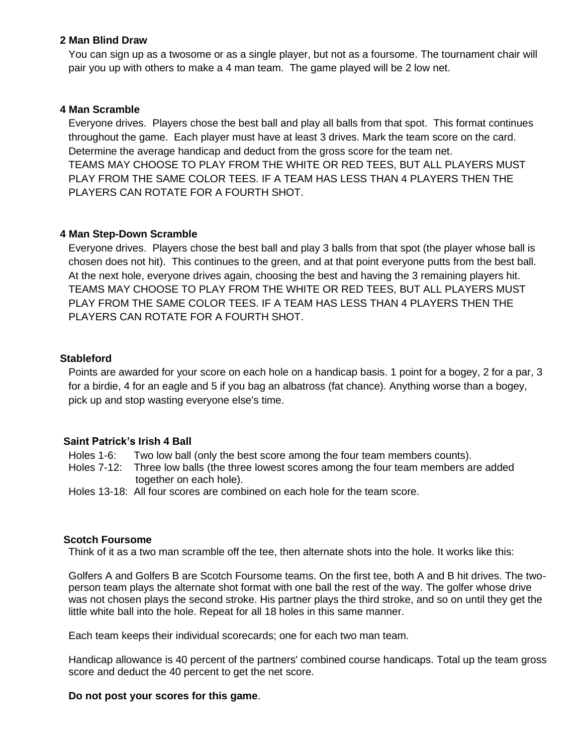## **2 Man Blind Draw**

You can sign up as a twosome or as a single player, but not as a foursome. The tournament chair will pair you up with others to make a 4 man team. The game played will be 2 low net.

# **4 Man Scramble**

Everyone drives. Players chose the best ball and play all balls from that spot. This format continues throughout the game. Each player must have at least 3 drives. Mark the team score on the card. Determine the average handicap and deduct from the gross score for the team net. TEAMS MAY CHOOSE TO PLAY FROM THE WHITE OR RED TEES, BUT ALL PLAYERS MUST PLAY FROM THE SAME COLOR TEES. IF A TEAM HAS LESS THAN 4 PLAYERS THEN THE PLAYERS CAN ROTATE FOR A FOURTH SHOT.

## **4 Man Step-Down Scramble**

Everyone drives. Players chose the best ball and play 3 balls from that spot (the player whose ball is chosen does not hit). This continues to the green, and at that point everyone putts from the best ball. At the next hole, everyone drives again, choosing the best and having the 3 remaining players hit. TEAMS MAY CHOOSE TO PLAY FROM THE WHITE OR RED TEES, BUT ALL PLAYERS MUST PLAY FROM THE SAME COLOR TEES. IF A TEAM HAS LESS THAN 4 PLAYERS THEN THE PLAYERS CAN ROTATE FOR A FOURTH SHOT.

## **Stableford**

Points are awarded for your score on each hole on a handicap basis. 1 point for a bogey, 2 for a par, 3 for a birdie, 4 for an eagle and 5 if you bag an albatross (fat chance). Anything worse than a bogey, pick up and stop wasting everyone else's time.

## **Saint Patrick's Irish 4 Ball**

Holes 1-6: Two low ball (only the best score among the four team members counts).

- Holes 7-12: Three low balls (the three lowest scores among the four team members are added together on each hole).
- Holes 13-18: All four scores are combined on each hole for the team score.

## **Scotch Foursome**

Think of it as a two man scramble off the tee, then alternate shots into the hole. It works like this:

Golfers A and Golfers B are Scotch Foursome teams. On the first tee, both A and B hit drives. The twoperson team plays the alternate shot format with one ball the rest of the way. The golfer whose drive was not chosen plays the second stroke. His partner plays the third stroke, and so on until they get the little white ball into the hole. Repeat for all 18 holes in this same manner.

Each team keeps their individual scorecards; one for each two man team.

Handicap allowance is 40 percent of the partners' combined course handicaps. Total up the team gross score and deduct the 40 percent to get the net score.

#### **Do not post your scores for this game**.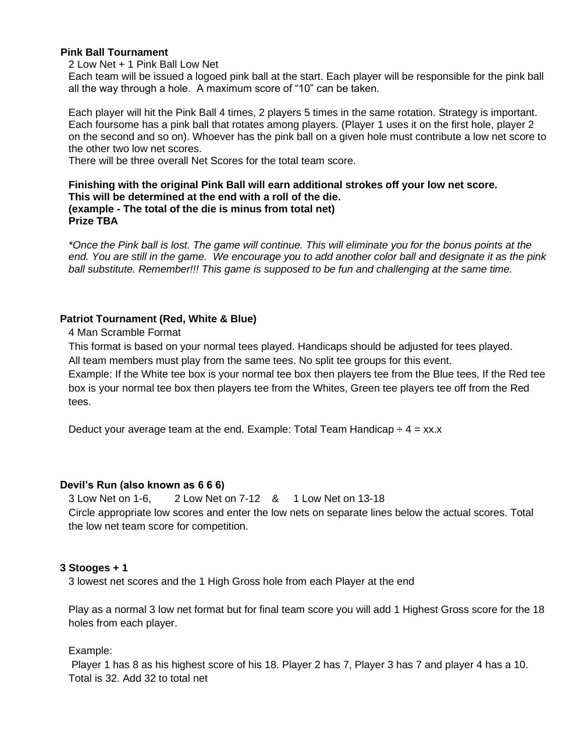# **Pink Ball Tournament**

2 Low Net + 1 Pink Ball Low Net

Each team will be issued a logoed pink ball at the start. Each player will be responsible for the pink ball all the way through a hole. A maximum score of "10" can be taken.

Each player will hit the Pink Ball 4 times, 2 players 5 times in the same rotation. Strategy is important. Each foursome has a pink ball that rotates among players. (Player 1 uses it on the first hole, player 2 on the second and so on). Whoever has the pink ball on a given hole must contribute a low net score to the other two low net scores.

There will be three overall Net Scores for the total team score.

# **Finishing with the original Pink Ball will earn additional strokes off your low net score. This will be determined at the end with a roll of the die. (example - The total of the die is minus from total net) Prize TBA**

*\*Once the Pink ball is lost. The game will continue. This will eliminate you for the bonus points at the end. You are still in the game. We encourage you to add another color ball and designate it as the pink ball substitute. Remember!!! This game is supposed to be fun and challenging at the same time.*

# **Patriot Tournament (Red, White & Blue)**

4 Man Scramble Format

This format is based on your normal tees played. Handicaps should be adjusted for tees played.

All team members must play from the same tees. No split tee groups for this event.

Example: If the White tee box is your normal tee box then players tee from the Blue tees, If the Red tee box is your normal tee box then players tee from the Whites, Green tee players tee off from the Red tees.

Deduct your average team at the end. Example: Total Team Handicap  $\div 4 = x \times x$ 

# **Devil's Run (also known as 6 6 6)**

3 Low Net on 1-6, 2 Low Net on 7-12 & 1 Low Net on 13-18 Circle appropriate low scores and enter the low nets on separate lines below the actual scores. Total the low net team score for competition.

# **3 Stooges + 1**

3 lowest net scores and the 1 High Gross hole from each Player at the end

Play as a normal 3 low net format but for final team score you will add 1 Highest Gross score for the 18 holes from each player.

Example:

Player 1 has 8 as his highest score of his 18. Player 2 has 7, Player 3 has 7 and player 4 has a 10. Total is 32. Add 32 to total net